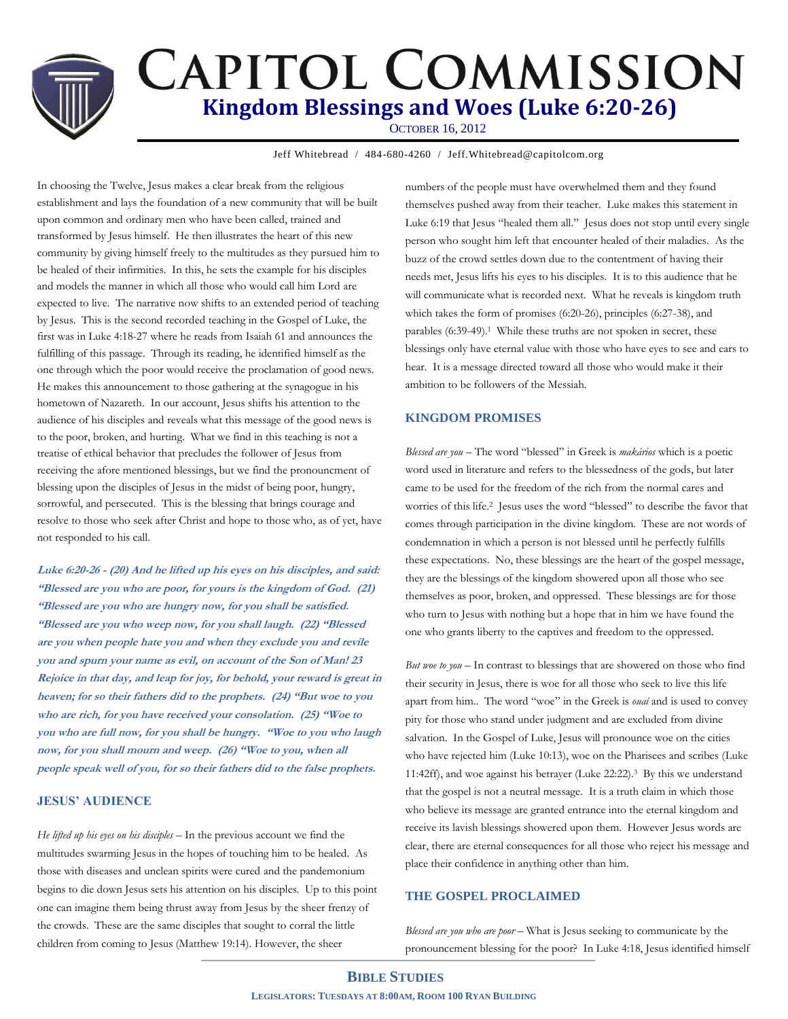# **CAPITOL COMMISSION Kingdom Blessings and Woes (Luke 6:20-26)** OCTOBER 16, 2012

Jeff Whitebread / 484-680-4260 / Jeff.Whitebread@capitolcom.org

In choosing the Twelve, Jesus makes a clear break from the religious establishment and lays the foundation of a new community that will be built upon common and ordinary men who have been called, trained and transformed by Jesus himself. He then illustrates the heart of this new community by giving himself freely to the multitudes as they pursued him to be healed of their infirmities. In this, he sets the example for his disciples and models the manner in which all those who would call him Lord are expected to live. The narrative now shifts to an extended period of teaching by Jesus. This is the second recorded teaching in the Gospel of Luke, the first was in Luke 4:18-27 where he reads from Isaiah 61 and announces the fulfilling of this passage. Through its reading, he identified himself as the one through which the poor would receive the proclamation of good news. He makes this announcement to those gathering at the synagogue in his hometown of Nazareth. In our account, Jesus shifts his attention to the audience of his disciples and reveals what this message of the good news is to the poor, broken, and hurting. What we find in this teaching is not a treatise of ethical behavior that precludes the follower of Jesus from receiving the afore mentioned blessings, but we find the pronouncment of blessing upon the disciples of Jesus in the midst of being poor, hungry, sorrowful, and persecuted. This is the blessing that brings courage and resolve to those who seek after Christ and hope to those who, as of yet, have not responded to his call.

**Luke 6:20-26 - (20) And he lifted up his eyes on his disciples, and said: "Blessed are you who are poor, for yours is the kingdom of God. (21) "Blessed are you who are hungry now, for you shall be satisfied. "Blessed are you who weep now, for you shall laugh. (22) "Blessed are you when people hate you and when they exclude you and revile you and spurn your name as evil, on account of the Son of Man! 23 Rejoice in that day, and leap for joy, for behold, your reward is great in heaven; for so their fathers did to the prophets. (24) "But woe to you who are rich, for you have received your consolation. (25) "Woe to you who are full now, for you shall be hungry. "Woe to you who laugh now, for you shall mourn and weep. (26) "Woe to you, when all people speak well of you, for so their fathers did to the false prophets.**

#### **JESUS' AUDIENCE**

*He lifted up his eyes on his disciples –* In the previous account we find the multitudes swarming Jesus in the hopes of touching him to be healed. As those with diseases and unclean spirits were cured and the pandemonium begins to die down Jesus sets his attention on his disciples. Up to this point one can imagine them being thrust away from Jesus by the sheer frenzy of the crowds. These are the same disciples that sought to corral the little children from coming to Jesus (Matthew 19:14). However, the sheer

numbers of the people must have overwhelmed them and they found themselves pushed away from their teacher. Luke makes this statement in Luke 6:19 that Jesus "healed them all." Jesus does not stop until every single person who sought him left that encounter healed of their maladies. As the buzz of the crowd settles down due to the contentment of having their needs met, Jesus lifts his eyes to his disciples. It is to this audience that he will communicate what is recorded next. What he reveals is kingdom truth which takes the form of promises (6:20-26), principles (6:27-38), and parables (6:39-49). <sup>1</sup> While these truths are not spoken in secret, these blessings only have eternal value with those who have eyes to see and ears to hear. It is a message directed toward all those who would make it their ambition to be followers of the Messiah.

## **KINGDOM PROMISES**

*Blessed are you* – The word "blessed" in Greek is *makários* which is a poetic word used in literature and refers to the blessedness of the gods, but later came to be used for the freedom of the rich from the normal cares and worries of this life. <sup>2</sup> Jesus uses the word "blessed" to describe the favor that comes through participation in the divine kingdom. These are not words of condemnation in which a person is not blessed until he perfectly fulfills these expectations. No, these blessings are the heart of the gospel message, they are the blessings of the kingdom showered upon all those who see themselves as poor, broken, and oppressed. These blessings are for those who turn to Jesus with nothing but a hope that in him we have found the one who grants liberty to the captives and freedom to the oppressed.

*But woe to you* – In contrast to blessings that are showered on those who find their security in Jesus, there is woe for all those who seek to live this life apart from him.. The word "woe" in the Greek is *ouaí* and is used to convey pity for those who stand under judgment and are excluded from divine salvation. In the Gospel of Luke, Jesus will pronounce woe on the cities who have rejected him (Luke 10:13), woe on the Pharisees and scribes (Luke 11:42ff), and woe against his betrayer (Luke 22:22).3 By this we understand that the gospel is not a neutral message. It is a truth claim in which those who believe its message are granted entrance into the eternal kingdom and receive its lavish blessings showered upon them. However Jesus words are clear, there are eternal consequences for all those who reject his message and place their confidence in anything other than him.

## **THE GOSPEL PROCLAIMED**

*Blessed are you who are poor* – What is Jesus seeking to communicate by the pronouncement blessing for the poor? In Luke 4:18, Jesus identified himself